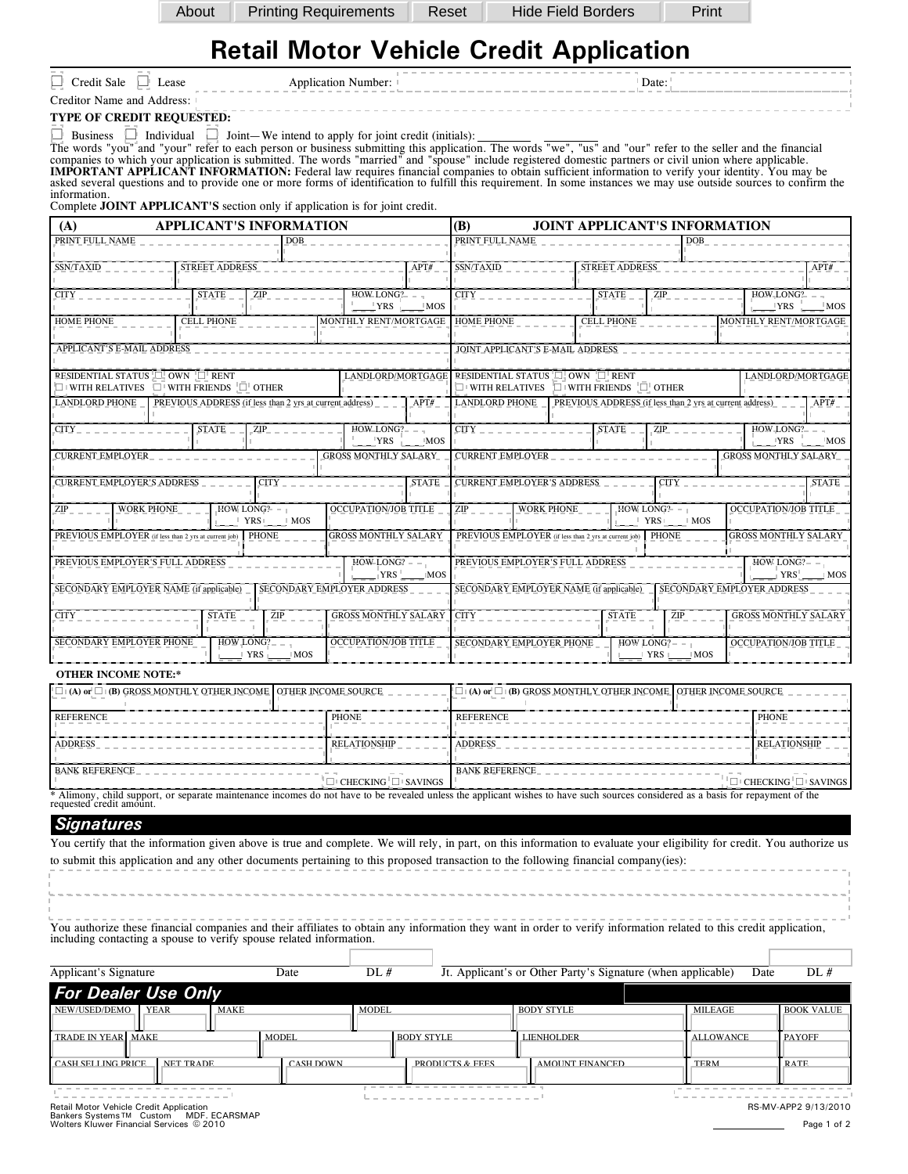|     | Pı |
|-----|----|
| ∩⊔t |    |

About Printing Requirements Reset Hide Field Borders Print

## **Retail Motor Vehicle Credit Application**

| ---------------------------                        | ---------------- |
|----------------------------------------------------|------------------|
| ∽<br>∟ease<br>redit Sale<br>Application<br>Number: | Date             |

Creditor Name and Address:

**TYPE OF CREDIT REQUESTED:**

 $\overline{\phantom{0}}$  $\Box$  Business  $\Box$  Individual  $\Box$  Joint We intend to apply for joint credit (initials):

The words "you" and "your" refer to each person or business submitting this application. The words "we", "us" and "our" refer to the seller and the financial<br>companies to which your application is submitted. The words "mar IMPORTANT APPLICANT INFORMATION: Federal law requires financial companies to obtain sufficient information to verify your identity. You may be<br>asked several questions and to provide one or more forms of identification to f information.

Complete JOINT APPLICANT'S section only if application is for joint credit.

| (A)                               | <b>APPLICANT'S INFORMATION</b>                                                            |                                |                               | <b>(B)</b><br><b>JOINT APPLICANT'S INFORMATION</b>                    |                                                                                                                                  |                   |                   |                                  |                                                          |                                                                 |              |  |  |  |
|-----------------------------------|-------------------------------------------------------------------------------------------|--------------------------------|-------------------------------|-----------------------------------------------------------------------|----------------------------------------------------------------------------------------------------------------------------------|-------------------|-------------------|----------------------------------|----------------------------------------------------------|-----------------------------------------------------------------|--------------|--|--|--|
| PRINT FULL NAME                   |                                                                                           | <b>DOB</b>                     |                               |                                                                       | PRINT FULL NAME                                                                                                                  |                   |                   |                                  | <b>DOB</b>                                               |                                                                 |              |  |  |  |
| SSN/TAXID                         | <b>STREET ADDRESS</b>                                                                     |                                |                               | APT#                                                                  | SSN/TAXID                                                                                                                        |                   |                   | <b>STREET ADDRESS</b>            |                                                          |                                                                 | APT#         |  |  |  |
| <b>CITY</b>                       | <b>STATE</b>                                                                              | ZIP                            | HOWLONG?                      | $\vert$ YRS $\vert$ $\vert$ MOS                                       | <b>CITY</b>                                                                                                                      |                   | <b>STATE</b>      | ZIP                              |                                                          | $HOW$ <sub>-</sub> LONG <sup>2</sup> – –<br>$\perp$ YRS $\perp$ | $^+$ MOS     |  |  |  |
| <b>HOME PHONE</b>                 | <b>CELL PHONE</b>                                                                         |                                | MONTHLY RENT/MORTGAGE         |                                                                       | <b>HOME PHONE</b>                                                                                                                |                   | <b>CELL PHONE</b> |                                  |                                                          | MONTHLY RENT/MORTGAGE                                           |              |  |  |  |
| APPLICANT'S E-MAIL ADDRESS        |                                                                                           |                                |                               |                                                                       | JOINT_APPLICANT'S E-MAIL ADDRESS                                                                                                 |                   |                   |                                  |                                                          |                                                                 |              |  |  |  |
|                                   | RESIDENTIAL STATUS IN OWN THENT<br>$\Box$ WITH RELATIVES $\Box$ WITH FRIENDS $\Box$ OTHER |                                |                               |                                                                       | LANDLORD/MORTGAGE RESIDENTIAL STATUS I OWN FIRENT<br>LANDLORD/MORTGAGE<br>$\Box$ WITH RELATIVES $\Box$ WITH FRIENDS $\Box$ OTHER |                   |                   |                                  |                                                          |                                                                 |              |  |  |  |
| <b>LANDLORD PHONE</b>             | PREVIOUS ADDRESS (if less than 2 yrs at current address)                                  |                                |                               | APT#                                                                  | <b>LANDLORD PHONE</b>                                                                                                            |                   |                   |                                  | PREVIOUS ADDRESS (if less than 2 yrs at current address) |                                                                 | APT#         |  |  |  |
| CITY                              | <b>STATE</b>                                                                              | ZIP                            | $HOW\_LONG?$ - -<br>$YRS$ MOS |                                                                       | CITY_                                                                                                                            |                   | STATE             |                                  | $ZIP$ <sub>-</sub>                                       | $HOW\_LONG?$ - -<br>$YRS$ MOS                                   |              |  |  |  |
| <b>CURRENT EMPLOYER</b>           |                                                                                           |                                | <b>GROSS MONTHLY SALARY</b>   |                                                                       | <b>CURRENT EMPLOYER</b>                                                                                                          |                   |                   |                                  |                                                          | <b>GROSS MONTHLY SALARY</b>                                     |              |  |  |  |
| <b>CURRENT EMPLOYER'S ADDRESS</b> |                                                                                           | <b>CITY</b>                    |                               | <b>STATE</b>                                                          | <b>CURRENT EMPLOYER'S ADDRESS</b>                                                                                                |                   |                   |                                  | <b>CITY</b>                                              |                                                                 | <b>STATE</b> |  |  |  |
| ZIP                               | <b>WORK PHONE</b><br>HOW LONG? $-1$                                                       | $\sqrt{\text{YRS}}$ MOS        | <b>OCCUPATION/JOB TITLE</b>   |                                                                       | ZIP                                                                                                                              | <b>WORK PHONE</b> |                   | HOW LONG?- $-1$                  | $\frac{1}{2}$ YRS $\frac{1}{2}$ MOS                      | <b>OCCUPATION/JOB TITLE</b>                                     |              |  |  |  |
|                                   | PREVIOUS EMPLOYER (if less than 2 yrs at current job)                                     | PHONE                          | <b>GROSS MONTHLY SALARY</b>   |                                                                       | PREVIOUS EMPLOYER (if less than 2 yrs at current job) PHONE<br><b>GROSS MONTHLY SALARY</b>                                       |                   |                   |                                  |                                                          |                                                                 |              |  |  |  |
|                                   | PREVIOUS EMPLOYER'S FULL ADDRESS                                                          |                                | $HOW-LONG? - -$<br>$YRS$ MOS  |                                                                       | PREVIOUS EMPLOYER'S FULL ADDRESS<br>$HOW$ LONG? - -<br>$YRS$ MOS                                                                 |                   |                   |                                  |                                                          |                                                                 |              |  |  |  |
|                                   | SECONDARY EMPLOYER NAME (if applicable)                                                   |                                | SECONDARY EMPLOYER ADDRESS    | SECONDARY EMPLOYER NAME (if applicable)<br>SECONDARY EMPLOYER ADDRESS |                                                                                                                                  |                   |                   |                                  |                                                          |                                                                 |              |  |  |  |
| <b>CITY</b>                       | <b>STATE</b>                                                                              | ZIP                            | <b>GROSS MONTHLY SALARY</b>   |                                                                       | CITY .                                                                                                                           |                   |                   | <b>STATE</b>                     | ZIP                                                      | <b>GROSS MONTHLY SALARY</b>                                     |              |  |  |  |
| SECONDARY EMPLOYER PHONE          |                                                                                           | $HOW$ LONG? - $-$<br>$YRS$ MOS | <b>OCCUPATION/JOB TITLE</b>   |                                                                       | SECONDARY EMPLOYER PHONE                                                                                                         |                   |                   | $HOW$ LONG? - -<br>$+ YRS + MOS$ | <b>OCCUPATION/JOB TITLE</b>                              |                                                                 |              |  |  |  |
| <b>OTHER INCOME NOTE:*</b>        |                                                                                           |                                |                               |                                                                       |                                                                                                                                  |                   |                   |                                  |                                                          |                                                                 |              |  |  |  |
|                                   |                                                                                           |                                |                               |                                                                       |                                                                                                                                  |                   |                   |                                  |                                                          |                                                                 |              |  |  |  |

| $\Box$ (A) or $\Box$ (B) GROSS MONTHLY OTHER INCOME OTHER INCOME SOURCE                                                                                                                                      |  |                                | $\Box$ (A) or $\Box$ (B) GROSS MONTHLY OTHER INCOME OTHER INCOME SOURCE |  |                                |  |  |  |  |  |  |
|--------------------------------------------------------------------------------------------------------------------------------------------------------------------------------------------------------------|--|--------------------------------|-------------------------------------------------------------------------|--|--------------------------------|--|--|--|--|--|--|
| <b>REFERENCE</b>                                                                                                                                                                                             |  | <b>PHONE</b>                   | <b>REFERENCE</b>                                                        |  | PHONE                          |  |  |  |  |  |  |
|                                                                                                                                                                                                              |  |                                |                                                                         |  |                                |  |  |  |  |  |  |
| <b>ADDRESS</b>                                                                                                                                                                                               |  | RELATIONSHIP                   | <b>ADDRESS</b>                                                          |  | <b>RELATIONSHIP</b>            |  |  |  |  |  |  |
|                                                                                                                                                                                                              |  |                                |                                                                         |  |                                |  |  |  |  |  |  |
| <b>BANK REFERENCE</b>                                                                                                                                                                                        |  |                                | <b>BANK REFERENCE</b>                                                   |  |                                |  |  |  |  |  |  |
|                                                                                                                                                                                                              |  | $\Box$ CHECKING $\Box$ SAVINGS |                                                                         |  | $\Box$ CHECKING $\Box$ SAVINGS |  |  |  |  |  |  |
| * Alimony, child support, or separate maintenance incomes do not have to be revealed unless the applicant wishes to have such sources considered as a basis for repayment of the<br>requested credit amount. |  |                                |                                                                         |  |                                |  |  |  |  |  |  |

*Signatures*

You certify that the information given above is true and complete. We will rely, in part, on this information to evaluate your eligibility for credit. You authorize us to submit this application and any other documents pertaining to this proposed transaction to the following financial company(ies):

You authorize these financial companies and their affiliates to obtain any information they want in order to verify information related to this credit application, including contacting a spouse to verify spouse related information.

| Applicant's Signature      |           |      | Date             | DL#          |                                   |                   | Jt. Applicant's or Other Party's Signature (when applicable) | Date | DL#               |
|----------------------------|-----------|------|------------------|--------------|-----------------------------------|-------------------|--------------------------------------------------------------|------|-------------------|
| <b>For Dealer Use Only</b> |           |      |                  |              |                                   |                   |                                                              |      |                   |
| NEW/USED/DEMO              | YEAR      | MAKE |                  | <b>MODEL</b> |                                   | <b>BODY STYLE</b> | MILEAGE                                                      |      | <b>BOOK VALUE</b> |
| TRADE IN YEAR MAKE         |           |      | MODEL            |              | <b>BODY STYLE</b>                 | <b>LIENHOLDER</b> | ALLOWANCE                                                    |      | <b>PAYOFF</b>     |
| <b>CASH SELLING PRICE</b>  | NET TRADE |      | <b>CASH DOWN</b> |              | <b>PRODUCTS &amp; FEES</b>        | AMOUNT FINANCED   | <b>TERM</b>                                                  |      | <b>RATE</b>       |
|                            |           |      |                  |              | --------------------------------- |                   |                                                              |      |                   |

Retail Motor Vehicle Credit Application<br>Bankers Systems TM (Custom MDF. ECARSMAP<br>Wolters Kluwer Financial Services © 2010 Page 1 of 2

RS-MV-APP2 9/13/2010